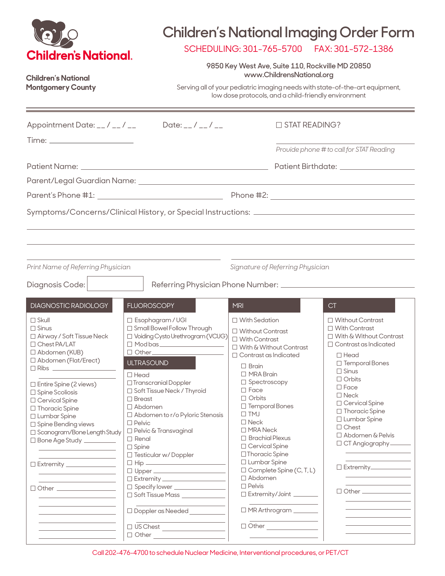| <b>Children's National.</b><br>Children's National<br><b>Montgomery County</b>                                                                                                                                                                                                                                                                                                                                                                                                                                                                                                                                                                                                                                                                                                                                                                                                                                                |                                                                                                                                                                                                                                                                                                                                                                                                                                                                                                                                     | SCHEDULING: 301-765-5700<br>9850 Key West Ave, Suite 110, Rockville MD 20850<br>www.ChildrensNational.org<br>Serving all of your pediatric imaging needs with state-of-the-art equipment,<br>low dose protocols, and a child-friendly environment                                                                                                                                                                                                                                                                                          | <b>Children's National Imaging Order Form</b><br>FAX: 301-572-1386                                                                                                                                                                                                                                                                                                                                                                                                                              |
|-------------------------------------------------------------------------------------------------------------------------------------------------------------------------------------------------------------------------------------------------------------------------------------------------------------------------------------------------------------------------------------------------------------------------------------------------------------------------------------------------------------------------------------------------------------------------------------------------------------------------------------------------------------------------------------------------------------------------------------------------------------------------------------------------------------------------------------------------------------------------------------------------------------------------------|-------------------------------------------------------------------------------------------------------------------------------------------------------------------------------------------------------------------------------------------------------------------------------------------------------------------------------------------------------------------------------------------------------------------------------------------------------------------------------------------------------------------------------------|--------------------------------------------------------------------------------------------------------------------------------------------------------------------------------------------------------------------------------------------------------------------------------------------------------------------------------------------------------------------------------------------------------------------------------------------------------------------------------------------------------------------------------------------|-------------------------------------------------------------------------------------------------------------------------------------------------------------------------------------------------------------------------------------------------------------------------------------------------------------------------------------------------------------------------------------------------------------------------------------------------------------------------------------------------|
| Appointment Date: __/ __/ __                                                                                                                                                                                                                                                                                                                                                                                                                                                                                                                                                                                                                                                                                                                                                                                                                                                                                                  | Date: $_{-}/_{-}/_{-}$                                                                                                                                                                                                                                                                                                                                                                                                                                                                                                              | $\Box$ STAT READING?                                                                                                                                                                                                                                                                                                                                                                                                                                                                                                                       |                                                                                                                                                                                                                                                                                                                                                                                                                                                                                                 |
|                                                                                                                                                                                                                                                                                                                                                                                                                                                                                                                                                                                                                                                                                                                                                                                                                                                                                                                               |                                                                                                                                                                                                                                                                                                                                                                                                                                                                                                                                     |                                                                                                                                                                                                                                                                                                                                                                                                                                                                                                                                            | Provide phone # to call for STAT Reading                                                                                                                                                                                                                                                                                                                                                                                                                                                        |
|                                                                                                                                                                                                                                                                                                                                                                                                                                                                                                                                                                                                                                                                                                                                                                                                                                                                                                                               |                                                                                                                                                                                                                                                                                                                                                                                                                                                                                                                                     |                                                                                                                                                                                                                                                                                                                                                                                                                                                                                                                                            |                                                                                                                                                                                                                                                                                                                                                                                                                                                                                                 |
|                                                                                                                                                                                                                                                                                                                                                                                                                                                                                                                                                                                                                                                                                                                                                                                                                                                                                                                               |                                                                                                                                                                                                                                                                                                                                                                                                                                                                                                                                     |                                                                                                                                                                                                                                                                                                                                                                                                                                                                                                                                            |                                                                                                                                                                                                                                                                                                                                                                                                                                                                                                 |
|                                                                                                                                                                                                                                                                                                                                                                                                                                                                                                                                                                                                                                                                                                                                                                                                                                                                                                                               |                                                                                                                                                                                                                                                                                                                                                                                                                                                                                                                                     |                                                                                                                                                                                                                                                                                                                                                                                                                                                                                                                                            |                                                                                                                                                                                                                                                                                                                                                                                                                                                                                                 |
| Print Name of Referring Physician<br>Signature of Referring Physician<br>Diagnosis Code:                                                                                                                                                                                                                                                                                                                                                                                                                                                                                                                                                                                                                                                                                                                                                                                                                                      |                                                                                                                                                                                                                                                                                                                                                                                                                                                                                                                                     |                                                                                                                                                                                                                                                                                                                                                                                                                                                                                                                                            |                                                                                                                                                                                                                                                                                                                                                                                                                                                                                                 |
| DIAGNOSTIC RADIOLOGY                                                                                                                                                                                                                                                                                                                                                                                                                                                                                                                                                                                                                                                                                                                                                                                                                                                                                                          | <b>FLUOROSCOPY</b>                                                                                                                                                                                                                                                                                                                                                                                                                                                                                                                  | <b>MRI</b>                                                                                                                                                                                                                                                                                                                                                                                                                                                                                                                                 | CT                                                                                                                                                                                                                                                                                                                                                                                                                                                                                              |
| $\Box$ Skull<br>$\Box$ Sinus<br>□ Airway / Soft Tissue Neck<br>$\Box$ Chest PA/LAT<br>$\Box$ Abdomen (KUB)<br>□ Abdomen (Flat/Erect)<br>$\Box$ Ribs $\_\_$<br>$\Box$ Entire Spine (2 views)<br>□ Spine Scoliosis<br>□ Cervical Spine<br>□ Thoracic Spine<br>□ Lumbar Spine<br>□ Spine Bending views<br>□ Scanogram/Bone Length Study<br>□ Bone Age Study _________<br><u> 1989 - Andrea Stadt, fransk politik (d. 1989)</u><br><u> 1989 - Johann Barn, mars ann an t-</u><br>□ Extremity ________________<br><u> 1980 - Johann Barbara, martxa alemaniar a</u><br>the control of the control of the control of<br>□ Other <u>________________</u><br>the control of the control of the control of<br><u> 1980 - Johann Barbara, martxa alemaniar a</u><br>the control of the control of the control of<br><u> 1989 - Johann Barn, mars ann an t-Amhair an t-Amhair an t-Amhair an t-Amhair an t-Amhair an t-Amhair an t-A</u> | $\Box$ Esophagram / UGI<br>□ Small Bowel Follow Through<br>□ Voiding Cysto Urethrogram (VCUG)<br>$\Box$ Mod bas<br>□ Other_<br><b>ULTRASOUND</b><br>$\Box$ Head<br>□ Transcranial Doppler<br>□ Soft Tissue Neck / Thyroid<br>$\Box$ Breast<br>□ Abdomen<br>$\Box$ Abdomen to r/o Pyloric Stenosis<br>$\Box$ Pelvic<br>□ Pelvic & Transvaginal<br>$\Box$ Renal<br>$\Box$ Spine<br>□ Testicular w/Doppler<br>□ Upper <u>_____________________</u><br>□ Specify lower _________________<br>$\Box$ Doppler as Needed<br>$\Box$ US Chest | $\Box$ With Sedation<br>□ Without Contrast<br>$\Box$ With Contrast<br>$\Box$ With & Without Contrast<br>$\Box$ Contrast as Indicated<br>$\Box$ Brain<br>$\Box$ MRA Brain<br>□ Spectroscopy<br>$\Box$ Face<br>$\Box$ Orbits<br>□ Temporal Bones<br>$\Box$ TMJ<br>$\square$ Neck<br>$\Box$ MRA Neck<br>$\Box$ Brachial Plexus<br>□ Cervical Spine<br>□ Thoracic Spine<br>□ Lumbar Spine<br>$\Box$ Complete Spine (C, T, L)<br>□ Abdomen<br>$\square$ Pelvis<br>□ Extremity/Joint _______<br>MR Arthrogram _______<br>□ Other _______________ | $\Box$ Without Contrast<br>$\Box$ With Contrast<br>$\Box$ With & Without Contrast<br>$\Box$ Contrast as Indicated<br>$\Box$ Head<br>□ Temporal Bones<br>$\Box$ Sinus<br>$\Box$ Orbits<br>$\Box$ Face<br>$\Box$ Neck<br>□ Cervical Spine<br>□ Thoracic Spine<br>□ Lumbar Spine<br>$\Box$ Chest<br>□ Abdomen & Pelvis<br>□ CT Angiography<br>Extremity_____________<br><u> 1989 - Johann Barn, mars et al. (b. 1989)</u><br>□ Other <u>___________</u> _____<br>the control of the control of the |

Call 202-476-4700 to schedule Nuclear Medicine, Interventional procedures, or PET/CT